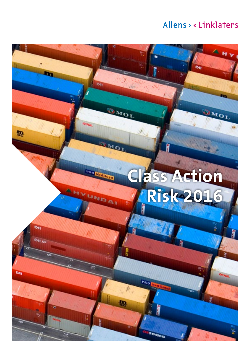Cqi

UMOL

# **Class Action Risk 2016**

Pag

И

eaco

b

**OMOT** 

MOI

Pan

UNDAI

**OHNY** 

 $\mathbf{p}$ 

**CAI** 

they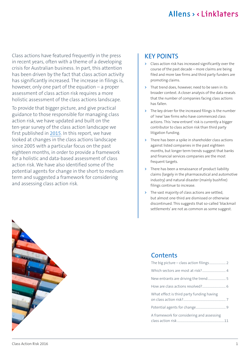Class actions have featured frequently in the press in recent years, often with a theme of a developing crisis for Australian business. In part, this attention has been driven by the fact that class action activity has significantly increased. The increase in filings is, however, only one part of the equation – a proper assessment of class action risk requires a more holistic assessment of the class actions landscape.

To provide that bigger picture, and give practical guidance to those responsible for managing class action risk, we have updated and built on the ten-year survey of the class action landscape we first published in [2015](http://www.allens.com.au/pubs/pdf/class/cuca28may15.pdf). In this report, we have looked at changes in the class actions landscape since 2005 with a particular focus on the past eighteen months, in order to provide a framework for a holistic and data-based assessment of class action risk. We have also identified some of the potential agents for change in the short to medium term and suggested a framework for considering and assessing class action risk.

#### KEY POINTS

- **>** Class action risk has increased significantly over the course of the past decade – more claims are being filed and more law firms and third party funders are promoting claims.
- **>** That trend does, however, need to be seen in its broader context. A closer analysis of the data reveals that the number of companies facing class actions has fallen.
- **>** The key driver for the increased filings is the number of 'new' law firms who have commenced class actions. This 'new entrant' risk is currently a bigger contributor to class action risk than third party litigation funding.
- **>** There has been a spike in shareholder class actions against listed companies in the past eighteen months, but longer term trends suggest that banks and financial services companies are the most frequent targets.
- **>** There has been a renaissance of product liability claims (largely in the pharmaceutical and automotive industry) and natural disaster (mainly bushfire) filings continue to increase.
- **>** The vast majority of class actions are settled, but almost one‑third are dismissed or otherwise discontinued. This suggests that so-called 'blackmail settlements' are not as common as some suggest.



### **Contents**

| What effect is third party funding having |  |
|-------------------------------------------|--|
|                                           |  |
| A framework for considering and assessing |  |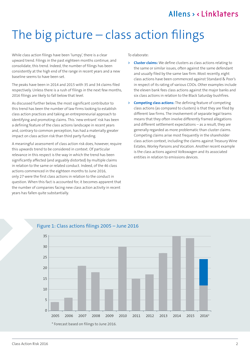## <span id="page-2-0"></span>The big picture  $-$  class action filings

While class action filings have been 'lumpy', there is a clear upward trend. Filings in the past eighteen months continue, and consolidate, this trend. Indeed, the number of filings has been consistently at the high end of the range in recent years and a new baseline seems to have been set.

The peaks have been in 2014 and 2015 with 35 and 34 claims filed respectively. Unless there is a rush of filings in the next few months, 2016 filings are likely to fall below that level.

As discussed further below, the most significant contributor to this trend has been the number of law firms looking to establish class action practices and taking an entrepreneurial approach to identifying and promoting claims. This 'new entrant' risk has been a defining feature of the class actions landscape in recent years and, contrary to common perception, has had a materially greater impact on class action risk than third party funding.

A meaningful assessment of class action risk does, however, require this upwards trend to be considered in context. Of particular relevance in this respect is the way in which the trend has been significantly affected (and arguably distorted) by multiple claims in relation to the same or related conduct. Indeed, of the 46 class actions commenced in the eighteen months to June 2016, only 27 were the first class actions in relation to the conduct in question. When this fact is accounted for, it becomes apparent that the number of companies facing new class action activity in recent years has fallen quite substantially.

To elaborate:

- **> Cluster claims:** We define clusters as class actions relating to the same or similar issues, often against the same defendant and usually filed by the same law firm. Most recently, eight class actions have been commenced against Standard & Poor's in respect of its rating of various CDOs. Other examples include the eleven bank fees class actions against the major banks and six class actions in relation to the Black Saturday bushfires.
- **> Competing class actions:** The defining feature of competing class actions (as compared to clusters) is that they are filed by different law firms. The involvement of separate legal teams means that they often involve differently framed allegations and different settlement expectations – as a result, they are generally regarded as more problematic than cluster claims. Competing claims arise most frequently in the shareholder class action context, including the claims against Treasury Wine Estates, Worley Parsons and Vocation. Another recent example is the class actions against Volkswagen and its associated entities in relation to emissions devices.



#### Figure 1: Class actions filings 2005 – June 2016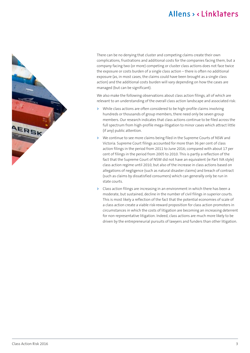

There can be no denying that cluster and competing claims create their own complications, frustrations and additional costs for the companies facing them, but a company facing two (or more) competing or cluster class actions does not face twice the exposure or costs burden of a single class action – there is often no additional exposure (as, in most cases, the claims could have been brought as a single class action) and the additional costs burden will vary depending on how the cases are managed (but can be significant).

We also make the following observations about class action filings, all of which are relevant to an understanding of the overall class action landscape and associated risk:

- **>** While class actions are often considered to be high‑profile claims involving hundreds or thousands of group members, there need only be seven group members. Our research indicates that class actions continue to be filed across the full spectrum from high-profile mega-litigation to minor cases which attract little (if any) public attention.
- **>** We continue to see more claims being filed in the Supreme Courts of NSW and Victoria. Supreme Court filings accounted for more than 36 per cent of class action filings in the period from 2011 to June 2016; compared with about 17 per cent of filings in the period from 2005 to 2010. This is partly a reflection of the fact that the Supreme Court of NSW did not have an equivalent (ie Part IVA style) class action regime until 2010, but also of the increase in class actions based on allegations of negligence (such as natural disaster claims) and breach of contract (such as claims by dissatisfied consumers) which can generally only be run in state courts.
- **>** Class action filings are increasing in an environment in which there has been a moderate, but sustained, decline in the number of civil filings in superior courts. This is most likely a reflection of the fact that the potential economies of scale of a class action create a viable risk‑reward proposition for class action promoters in circumstances in which the costs of litigation are becoming an increasing deterrent for non-representative litigation. Indeed, class actions are much more likely to be driven by the entrepreneurial pursuits of lawyers and funders than other litigation.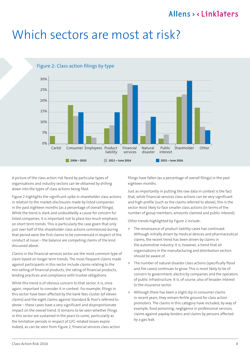## <span id="page-4-0"></span>Which sectors are most at risk?



#### Figure 2: Class action filings by type

A picture of the class action risk faced by particular types of organisations and industry sectors can be obtained by drilling down into the types of class actions being filed.

Figure 2 highlights the significant spike in shareholder class actions in relation to the market-disclosures made by listed companies in the past eighteen months (as a percentage of overall filings). While the trend is stark and undoubtedly a cause for concern for listed companies, it is important not to place too much emphasis on short term trends. This is particularly the case given that only just over half of the shareholder class actions commenced during that period were the first claims to be commenced in respect of the conduct at issue – the balance are competing claims of the kind discussed above.

Claims in the financial services sector are the most common type of claim based on longer term trends. The most frequent claims made against participants in this sector include claims relating to the mis‑selling of financial products, the rating of financial products, lending practices and compliance with trustee obligations.

While this trend is of obvious concern to that sector, it is, once again, important to consider it in context. For example, filings in this sector have been affected by the bank fees cluster (of eleven claims) and the eight claims against Standard & Poor's referred to above – these cases have a very significant and disproportionate impact on the overall trend. It remains to be seen whether filings in this sector are sustained in the years to come, particularly as the limitation periods in respect of GFC‑related losses expire. Indeed, as can be seen from Figure 2, financial services class action filings have fallen (as a percentage of overall filings) in the past eighteen months.

Just as importantly in putting the raw data in context is the fact that, while financial services class actions can be very significant and high-profile (such as the claims referred to above), this is the sector most likely to face smaller class actions (in terms of the number of group members, amounts claimed and public interest).

Other trends highlighted by Figure 2 include:

- **>** The renaissance of product liability cases has continued. Although initially driven by medical devices and pharmaceutical claims, the recent trend has been driven by claims in the automotive industry. It is, however, a trend that all organisations in the manufacturing and distribution sectors should be aware of.
- **>** The number of natural disaster class actions (specifically flood and fire cases) continues to grow. This is most likely to be of concern to government, electricity companies and the operators of public infrastructure. It is, of course, also of broader interest to the insurance sector.
- **>** Although there has been a slight dip in consumer claims in recent years, they remain fertile ground for class action promoters. The claims in this category have included, by way of example, food poisoning, negligence in professional services, claims against payday lenders and claims by persons affected by a gas leak.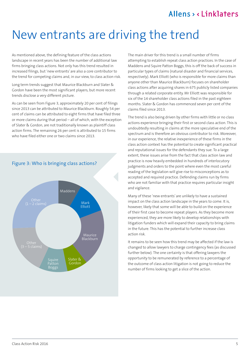## <span id="page-5-0"></span>New entrants are driving the trend

As mentioned above, the defining feature of the class actions landscape in recent years has been the number of additional law firms bringing class actions. Not only has this trend resulted in increased filings, but 'new entrants' are also a core contributor to the trend for competing claims and, in our view, to class action risk.

Long term trends suggest that Maurice Blackburn and Slater & Gordon have been the most significant players, but more recent trends disclose a very different picture.

As can be seen from Figure 3, approximately 20 per cent of filings since 2013 can be attributed to Maurice Blackburn. Roughly 54 per cent of claims can be attributed to eight firms that have filed three or more claims during that period – all of which, with the exception of Slater & Gordon, are not traditionally known as plaintiff class action firms. The remaining 26 per cent is attributed to 15 firms who have filed either one or two claims since 2013.



#### Figure 3: Who is bringing class actions?

The main driver for this trend is a small number of firms attempting to establish repeat class action practices. In the case of Maddens and Squire Patton Boggs, this is off the back of success in particular types of claims (natural disaster and financial services, respectively). Mark Elliott (who is responsible for more claims than anyone other than Maurice Blackburn) focuses on shareholder class actions after acquiring shares in 675 publicly listed companies through a related corporate entity. Mr Elliott was responsible for six of the 14 shareholder class actions filed in the past eighteen months. Slater & Gordon has commenced seven per cent of the claims filed since 2013.

The trend is also being driven by other firms with little or no class actions experience bringing their first or second class action. This is undoubtedly resulting in claims at the more speculative end of the spectrum and is therefore an obvious contributor to risk. Moreover, in our experience, the relative inexperience of these firms in the class action context has the potential to create significant practical and reputational issues for the defendants they sue. To a large extent, these issues arise from the fact that class action law and practice is now heavily embedded in hundreds of interlocutory judgments and orders to the point where even the most careful reading of the legislation will give rise to misconceptions as to accepted and required practice. Defending claims run by firms who are not familiar with that practice requires particular insight and vigilance.

Many of these 'new entrants' are unlikely to have a sustained impact on the class action landscape in the years to come. It is, however, likely that some will be able to build on the experience of their first case to become repeat players. As they become more experienced, they are more likely to develop relationships with litigation funders which will expand their capacity to bring claims in the future. This has the potential to further increase class action risk.

It remains to be seen how this trend may be affected if the law is changed to allow lawyers to charge contingency fees (as discussed further below). The one certainty is that offering lawyers the opportunity to be remunerated by reference to a percentage of the outcome of class action litigation is not going to reduce the number of firms looking to get a slice of the action.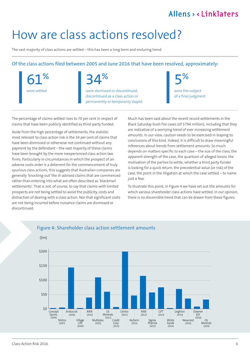## <span id="page-6-0"></span>How are class actions resolved?

The vast majority of class actions are settled – this has been a long term and enduring trend.

#### Of the class actions filed between 2005 and June 2016 that have been resolved, approximately:

61%

were settled



were dismissed or discontinued, discontinued as a class action or permanently or temporarily stayed 5% were the subject

of a final judgment

The percentage of claims settled rises to 70 per cent in respect of claims that have been publicly identified as third-party funded.

Aside from the high percentage of settlements, the statistic most relevant to class action risk is the 34 per cent of claims that have been dismissed or otherwise not continued without any payment by the defendant – the vast majority of these claims have been brought by the more inexperienced class action law firms. Particularly in circumstances in which the prospect of an adverse costs order is a deterrent for the commencement of truly spurious class actions, this suggests that Australian companies are generally 'knocking‑out' the ill‑advised claims that are commenced rather than entering into what are often described as 'blackmail settlements'. That is not, of course, to say that claims with limited prospects are not being settled to avoid the publicity, costs and distraction of dealing with a class action. Nor that significant costs are not being incurred before nuisance claims are dismissed or discontinued.

Much has been said about the recent record settlements in the Black Saturday bush fire cases (of \$794 million), including that they are indicative of a worrying trend of ever increasing settlement amounts. In our view, caution needs to be exercised in leaping to conclusions of this kind. Indeed, it is difficult to draw meaningful inferences about trends from settlement amounts. So much depends on matters specific to each case – the size of the class, the apparent strength of the case, the quantum of alleged losses, the motivation of the parties to settle, whether a third party funder is looking for a quick return, the precedential value (or risk) of the case, the point in the litigation at which the case settled – to name just a few.

To illustrate this point, in Figure 4 we have set out the amounts for which various shareholder class actions have settled. In our opinion, there is no discernible trend that can be drawn from these figures.



#### Figure 4: Shareholder class action settlement amounts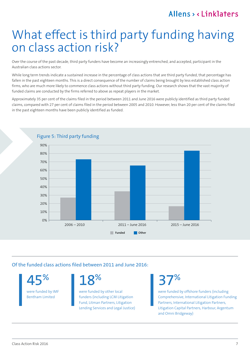## <span id="page-7-0"></span>What effect is third party funding having on class action risk?

Over the course of the past decade, third party funders have become an increasingly entrenched, and accepted, participant in the Australian class actions sector.

While long term trends indicate a sustained increase in the percentage of class actions that are third party funded, that percentage has fallen in the past eighteen months. This is a direct consequence of the number of claims being brought by less established class action firms, who are much more likely to commence class actions without third party funding. Our research shows that the vast majority of funded claims are conducted by the firms referred to above as repeat players in the market.

Approximately 35 per cent of the claims filed in the period between 2011 and June 2016 were publicly identified as third party funded claims, compared with 27 per cent of claims filed in the period between 2005 and 2010. However, less than 20 per cent of the claims filed in the past eighteen months have been publicly identified as funded.



45%

were funded by IMF Bentham Limited

18%

Of the funded class actions filed between 2011 and June 2016:

were funded by other local funders (including LCM Litigation Fund, Litman Partners, Litigation Lending Services and Legal Justice) 37%

were funded by offshore funders (including Comprehensive, International Litigation Funding Partners, International Litigation Partners, Litigation Capital Partners, Harbour, Argentum and Omni Bridgeway)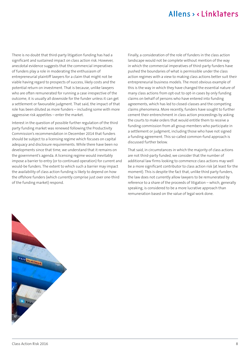There is no doubt that third-party litigation funding has had a significant and sustained impact on class action risk. However, anecdotal evidence suggests that the commercial imperatives of funders play a role in moderating the enthusiasm of entrepreneurial plaintiff lawyers for a claim that might not be viable having regard to prospects of success, likely costs and the potential return on investment. That is because, unlike lawyers who are often remunerated for running a case irrespective of the outcome, it is usually all downside for the funder unless it can get a settlement or favourable judgment. That said, the impact of that role has been diluted as more funders – including some with more aggressive risk appetites – enter the market.

Interest in the question of possible further regulation of the third party funding market was renewed following the Productivity Commission's recommendation in December 2014 that funders should be subject to a licensing regime which focuses on capital adequacy and disclosure requirements. While there have been no developments since that time, we understand that it remains on the government's agenda. A licensing regime would inevitably impose a barrier to entry (or to continued operation) for current and would-be funders. The extent to which such a barrier may impact the availability of class action funding is likely to depend on how the offshore funders (which currently comprise just over one-third of the funding market) respond.

Finally, a consideration of the role of funders in the class action landscape would not be complete without mention of the way in which the commercial imperatives of third-party funders have pushed the boundaries of what is permissible under the class action regimes with a view to making class actions better suit their entrepreneurial business models. The most obvious example of this is the way in which they have changed the essential nature of many class actions from opt-out to opt-in cases by only funding claims on behalf of persons who have entered into funding agreements, which has led to closed‑classes and the competing claims phenomena. More recently, funders have sought to further cement their entrenchment in class action proceedings by asking the courts to make orders that would entitle them to receive a funding commission from all group members who participate in a settlement or judgment, including those who have not signed a funding agreement. This so-called common-fund approach is discussed further below.

That said, in circumstances in which the majority of class actions are not third-party funded, we consider that the number of additional law firms looking to commence class actions may well be a more significant contributor to class action risk (at least for the moment). This is despite the fact that, unlike third party funders, the law does not currently allow lawyers to be remunerated by reference to a share of the proceeds of litigation – which, generally speaking, is considered to be a more lucrative approach than remuneration based on the value of legal work done.

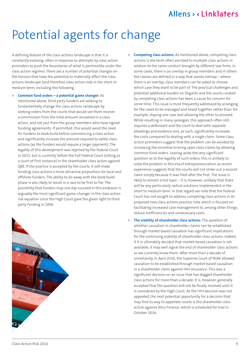## <span id="page-9-0"></span>Potential agents for change

A defining feature of the class actions landscape is that it is constantly evolving, often in response to attempts by class action promoters to push the boundaries of what is permissible under the class action regimes. There are a number of potential changes on the horizon that have the potential to materially affect the class actions landscape (and therefore class action risk) in the short to medium term, including the following.

**> Common fund orders – a potential game changer:** As mentioned above, third party funders are seeking to fundamentally change the class actions landscape by seeking orders from the courts that would see them receive a commission from the total amount recovered in a class action, and not just from the group members who have signed funding agreements. If permitted, this would avoid the need for funders to book‑build before commencing a class action and significantly increase the amount required to settle class actions (as the funders would require a larger payment). The legality of this development was rejected by the Federal Court in 2015, but is currently before the Full Federal Court (sitting as a court of first instance) in the shareholder class action against QBE. If the practice is accepted by the courts, it will make funding class actions a more attractive proposition for local and offshore funders. The ability to do away with the book‑build phase is also likely to result in a race to be first to file. The possibility that funders may one day succeed in this endeavor is arguably the most significant game‑changer in the class action risk equation since the High Court gave the green light to third party funding in 2006.



- **> Competing class actions:** As mentioned above, competing class actions is the term often ascribed to multiple class actions in relation to the same conduct brought by different law firms. In some cases, there is an overlap in group members and in others the classes are defined in a way that avoids overlap – where there is an overlap, class members can be asked to choose which case they want to be part of. The practical challenges and potential additional burden on litigants and the courts created by competing class actions has been a cause for concern for some time. This issue is most frequently addressed by arranging for the cases to be managed and heard together rather than, for example, staying one case and allowing the other to proceed. While resulting in many synergies, this approach often still requires a defendant and the court to deal with separate pleadings and evidence and, as such, significantly increases the costs compared to dealing with a single claim. Some class action promoters suggest that the problem can be avoided by increasing the incentive to bring open class claims by allowing common fund orders. Leaving aside the very significant question as to the legality of such orders, this is unlikely to solve the problem in this era of entrepreneurialism as recent experience suggests that the courts will not strike-out a second claim simply because it was filed after the first. The issue is likely to remain a hot topic – it is, however, unlikely that there will be any particularly radical solutions implemented in the short to medium term. In that regard we note that the Federal Court has not sought to address competing class actions in its proposed new class actions practice note which is focused on facilitating increased case management to, among other things, reduce inefficiencies and unnecessary costs.
- **> The viability of shareholder class actions:** The question of whether causation in shareholder claims can be established through market‑based causation has significant implications for the continuing viability of shareholder class actions. Indeed, if it is ultimately decided that market‑based causation is not available, it may well signal the end of shareholder class actions as we currently know them. After more than a decade of uncertainty, in April 2016, the Supreme Court of NSW allowed causation to be established through market‑based causation in a shareholder claim against HIH Insurance. This was a significant decision on an issue that has dogged shareholder class actions for more than a decade. It is, however, generally accepted that the question will not be finally resolved until it is considered by the High Court. As the HIH decision was not appealed, the next potential opportunity for a decision that may find its way to appellate courts is the shareholder class action against Allco Finance, which is scheduled for trial in October 2016.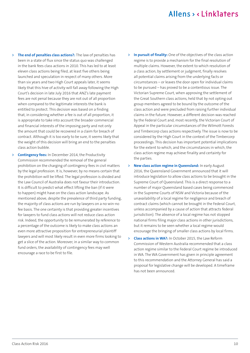- **> The end of penalties class actions?:** The law of penalties has been in a state of flux since the status quo was challenged in the bank fees class actions in 2010. This has led to at least eleven class actions being filed, at least five others being launched and speculation in respect of many others. More than six years and two High Court appeals later, it seems likely that this hive of activity will fall away following the High Court's decision in late July 2016 that ANZ's late payment fees are not penal because they are not out of all proportion when compared to the legitimate interests the bank is entitled to protect. This decision was based on a finding that, in considering whether a fee is out of all proportion, it is appropriate to take into account the broader commercial and financial interests of the imposing party and not only the amount that could be recovered in a claim for breach of contract. Although it is too early to be sure, it seems likely that the weight of this decision will bring an end to the penalties class action bubble.
- **> Contingency fees:** In December 2014, the Productivity Commission recommended the removal of the general prohibition on the charging of contingency fees in civil matters by the legal profession. It is, however, by no means certain that the prohibition will be lifted. The legal profession is divided and the Law Council of Australia does not favour their introduction. It is difficult to predict what effect lifting the ban (if it were to happen) might have on the class action landscape. As mentioned above, despite the prevalence of third party funding, the majority of class actions are run by lawyers on a no win‑no fee basis. The one certainty is that providing greater incentives for lawyers to fund class actions will not reduce class action risk. Indeed, the opportunity to be remunerated by reference to a percentage of the outcome is likely to make class actions an even more attractive proposition for entrepreneurial plaintiff lawyers and will most likely result in even more firms looking to get a slice of the action. Moreover, in a similar way to common fund orders, the availability of contingency fees may well encourage a race to be first to file.
- **> In pursuit of finality:** One of the objectives of the class action regime is to provide a mechanism for the final resolution of multiple claims. However, the extent to which resolution of a class action, by settlement or judgment, finally resolves all potential claims arising from the underlying facts or circumstances – or leaves the door open for individual claims to be pursued – has proved to be a contentious issue. The Victorian Supreme Court, when approving the settlement of the Great Southern class actions, held that by not opting out group members agreed to be bound by the outcome of the class action and were precluded from raising further individual claims in the future. However, a different decision was reached by the Federal Court and, most recently, the Victorian Court of Appeal in the particular circumstances of the Wilmott Forests and Timbercorp class actions respectively. The issue is now to be considered by the High Court in the context of the Timbercorp proceedings. This decision has important potential implications for the extent to which, and the circumstances in which, the class action regime may achieve finality and certainty for the parties.
- **> New class action regime in Queensland:** In early August 2016, the Queensland Government announced that it will introduce legislation to allow class actions to be brought in the Supreme Court of Queensland. This is a direct response to a number of major Queensland based cases being commenced in the Supreme Courts of NSW and Victoria because of the unavailability of a local regime for negligence and breach of contract claims (which cannot be brought in the Federal Court, unless accompanied by a cause of action that attracts federal jurisdiction). The absence of a local regime has not stopped national firms filing major class actions in other jurisdictions, but it remains to be seen whether a local regime would encourage the bringing of smaller class actions by local firms.
- **> Class actions in WA?:** In October 2015, the Law Reform Commission of Western Australia recommended that a class action regime similar to the Federal Court regime be introduced in WA. The WA Government has given in principle agreement to this recommendation and the Attorney General has said a proposal for legislative change will be developed. A timeframe has not been announced.